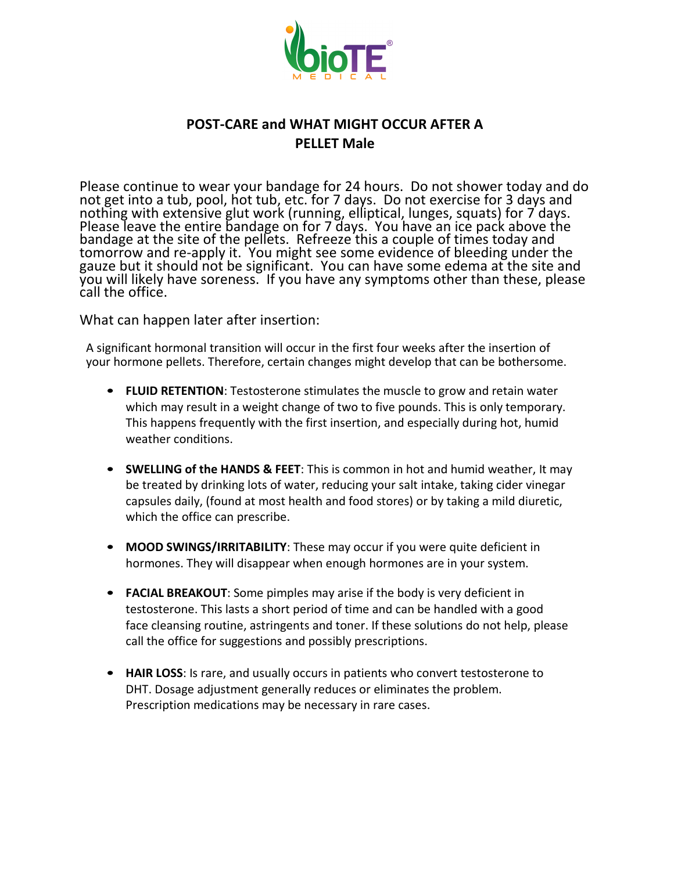

## **POST-CARE and WHAT MIGHT OCCUR AFTER A PELLET Male**

Please continue to wear your bandage for 24 hours. Do not shower today and do not get into a tub, pool, hot tub, etc. for 7 days. Do not exercise for 3 days and nothing with extensive glut work (running, elliptical, lunges, squats) for 7 days. Please leave the entire bandage on for 7 days. You have an ice pack above the bandage at the site of the pellets. Refreeze this a couple of times today and tomorrow and re-apply it. You might see some evidence of bleeding under the gauze but it should not be significant. You can have some edema at the site and you will likely have soreness. If you have any symptoms other than these, please call the office.

What can happen later after insertion:

A significant hormonal transition will occur in the first four weeks after the insertion of your hormone pellets. Therefore, certain changes might develop that can be bothersome.

- **FLUID RETENTION**: Testosterone stimulates the muscle to grow and retain water which may result in a weight change of two to five pounds. This is only temporary. This happens frequently with the first insertion, and especially during hot, humid weather conditions.
- **SWELLING of the HANDS & FEET**: This is common in hot and humid weather, It may be treated by drinking lots of water, reducing your salt intake, taking cider vinegar capsules daily, (found at most health and food stores) or by taking a mild diuretic, which the office can prescribe.
- **MOOD SWINGS/IRRITABILITY**: These may occur if you were quite deficient in hormones. They will disappear when enough hormones are in your system.
- **FACIAL BREAKOUT**: Some pimples may arise if the body is very deficient in testosterone. This lasts a short period of time and can be handled with a good face cleansing routine, astringents and toner. If these solutions do not help, please call the office for suggestions and possibly prescriptions.
- **HAIR LOSS:** Is rare, and usually occurs in patients who convert testosterone to DHT. Dosage adjustment generally reduces or eliminates the problem. Prescription medications may be necessary in rare cases.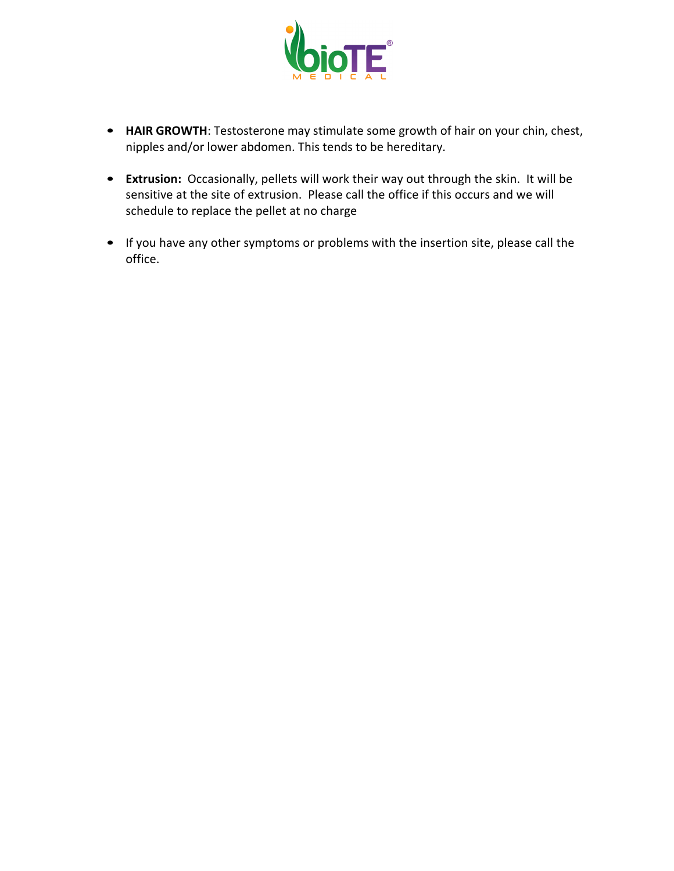

- HAIR GROWTH: Testosterone may stimulate some growth of hair on your chin, chest, nipples and/or lower abdomen. This tends to be hereditary.
- Extrusion: Occasionally, pellets will work their way out through the skin. It will be sensitive at the site of extrusion. Please call the office if this occurs and we will schedule to replace the pellet at no charge
- If you have any other symptoms or problems with the insertion site, please call the office.